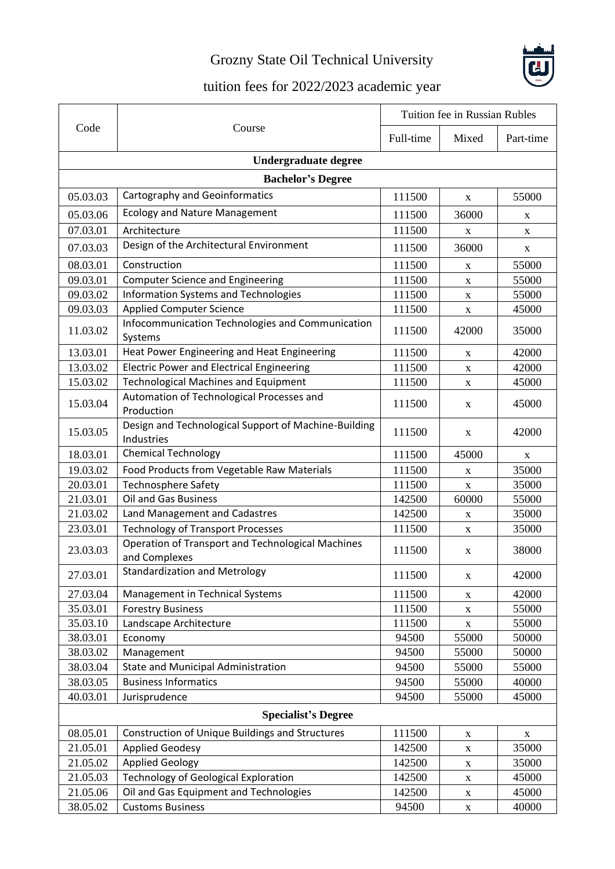## Grozny State Oil Technical University



## tuition fees for 2022/2023 academic year

| Code                        | Course                                                                    | Tuition fee in Russian Rubles |             |             |  |  |
|-----------------------------|---------------------------------------------------------------------------|-------------------------------|-------------|-------------|--|--|
|                             |                                                                           | Full-time                     | Mixed       | Part-time   |  |  |
| <b>Undergraduate degree</b> |                                                                           |                               |             |             |  |  |
| <b>Bachelor's Degree</b>    |                                                                           |                               |             |             |  |  |
| 05.03.03                    | Cartography and Geoinformatics                                            | 111500                        | X           | 55000       |  |  |
| 05.03.06                    | <b>Ecology and Nature Management</b>                                      | 111500                        | 36000       | X           |  |  |
| 07.03.01                    | Architecture                                                              | 111500                        | X           | X           |  |  |
| 07.03.03                    | Design of the Architectural Environment                                   | 111500                        | 36000       | X           |  |  |
| 08.03.01                    | Construction                                                              | 111500                        | X           | 55000       |  |  |
| 09.03.01                    | <b>Computer Science and Engineering</b>                                   | 111500                        | X           | 55000       |  |  |
| 09.03.02                    | <b>Information Systems and Technologies</b>                               | 111500                        | X           | 55000       |  |  |
| 09.03.03                    | <b>Applied Computer Science</b>                                           | 111500                        | $\mathbf X$ | 45000       |  |  |
| 11.03.02                    | Infocommunication Technologies and Communication<br>Systems               | 111500                        | 42000       | 35000       |  |  |
| 13.03.01                    | Heat Power Engineering and Heat Engineering                               | 111500                        | X           | 42000       |  |  |
| 13.03.02                    | <b>Electric Power and Electrical Engineering</b>                          | 111500                        | $\mathbf X$ | 42000       |  |  |
| 15.03.02                    | <b>Technological Machines and Equipment</b>                               | 111500                        | X           | 45000       |  |  |
| 15.03.04                    | Automation of Technological Processes and<br>Production                   | 111500                        | X           | 45000       |  |  |
| 15.03.05                    | Design and Technological Support of Machine-Building<br>Industries        | 111500                        | X           | 42000       |  |  |
| 18.03.01                    | <b>Chemical Technology</b>                                                | 111500                        | 45000       | X           |  |  |
| 19.03.02                    | Food Products from Vegetable Raw Materials                                | 111500                        | X           | 35000       |  |  |
| 20.03.01                    | <b>Technosphere Safety</b>                                                | 111500                        | X           | 35000       |  |  |
| 21.03.01                    | <b>Oil and Gas Business</b>                                               | 142500                        | 60000       | 55000       |  |  |
| 21.03.02                    | Land Management and Cadastres                                             | 142500                        | X           | 35000       |  |  |
| 23.03.01                    | <b>Technology of Transport Processes</b>                                  | 111500                        | $\mathbf X$ | 35000       |  |  |
| 23.03.03                    | <b>Operation of Transport and Technological Machines</b><br>and Complexes | 111500                        | X           | 38000       |  |  |
| 27.03.01                    | Standardization and Metrology                                             | 111500                        | X           | 42000       |  |  |
| 27.03.04                    | Management in Technical Systems                                           | 111500                        | X           | 42000       |  |  |
| 35.03.01                    | <b>Forestry Business</b>                                                  | 111500                        | X           | 55000       |  |  |
| 35.03.10                    | Landscape Architecture                                                    | 111500                        | X           | 55000       |  |  |
| 38.03.01                    | Economy                                                                   | 94500                         | 55000       | 50000       |  |  |
| 38.03.02                    | Management                                                                | 94500                         | 55000       | 50000       |  |  |
| 38.03.04                    | State and Municipal Administration                                        | 94500                         | 55000       | 55000       |  |  |
| 38.03.05                    | <b>Business Informatics</b>                                               | 94500                         | 55000       | 40000       |  |  |
| 40.03.01                    | Jurisprudence                                                             | 94500                         | 55000       | 45000       |  |  |
| <b>Specialist's Degree</b>  |                                                                           |                               |             |             |  |  |
| 08.05.01                    | Construction of Unique Buildings and Structures                           | 111500                        | $\mathbf X$ | $\mathbf X$ |  |  |
| 21.05.01                    | <b>Applied Geodesy</b>                                                    | 142500                        | $\mathbf X$ | 35000       |  |  |
| 21.05.02                    | <b>Applied Geology</b>                                                    | 142500                        | $\mathbf X$ | 35000       |  |  |
| 21.05.03                    | <b>Technology of Geological Exploration</b>                               | 142500                        | $\mathbf X$ | 45000       |  |  |
| 21.05.06                    | Oil and Gas Equipment and Technologies                                    | 142500                        | $\mathbf X$ | 45000       |  |  |
| 38.05.02                    | <b>Customs Business</b>                                                   | 94500                         | $\mathbf X$ | 40000       |  |  |